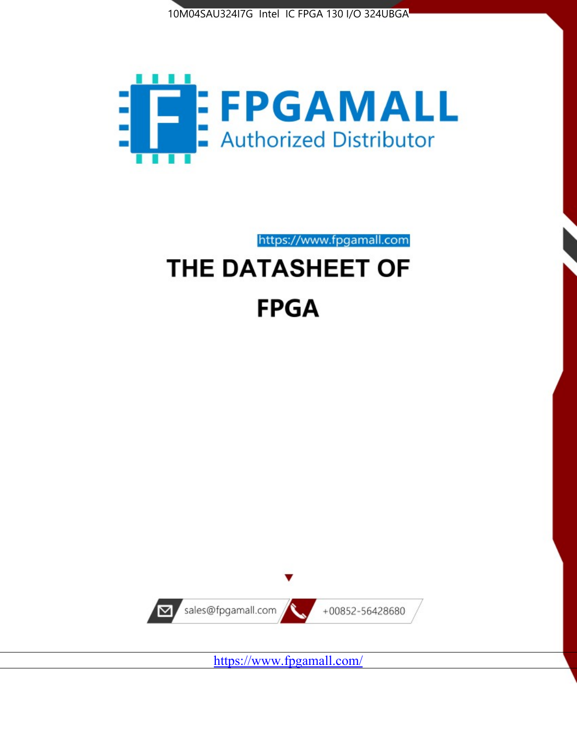



https://www.fpgamall.com

# THE DATASHEET OF **FPGA**



<https://www.fpgamall.com/>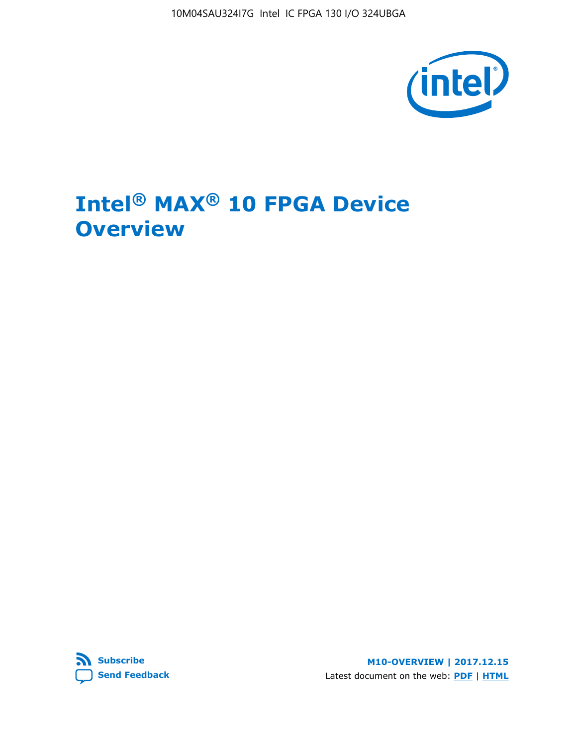10M04SAU324I7G Intel IC FPGA 130 I/O 324UBGA



# **Intel® MAX® 10 FPGA Device Overview**



**M10-OVERVIEW | 2017.12.15** Latest document on the web: **[PDF](https://www.altera.com/en_US/pdfs/literature/hb/max-10/m10_overview.pdf)** | **[HTML](https://www.altera.com/documentation/myt1396938463674.html)**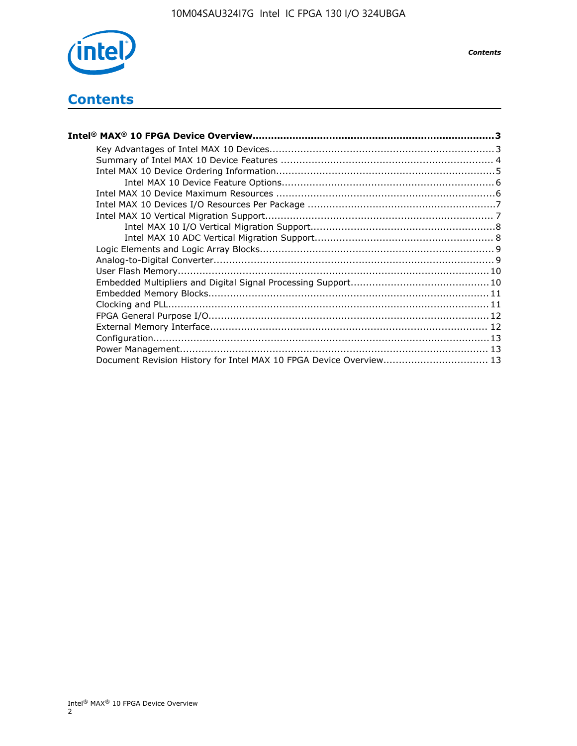

## **Contents**

| Intel® MAX® 10 FPGA Device Overview……………………………………………………………………………3  |  |
|--------------------------------------------------------------------|--|
|                                                                    |  |
|                                                                    |  |
|                                                                    |  |
|                                                                    |  |
|                                                                    |  |
|                                                                    |  |
|                                                                    |  |
|                                                                    |  |
|                                                                    |  |
|                                                                    |  |
|                                                                    |  |
|                                                                    |  |
|                                                                    |  |
|                                                                    |  |
|                                                                    |  |
|                                                                    |  |
|                                                                    |  |
|                                                                    |  |
|                                                                    |  |
| Document Revision History for Intel MAX 10 FPGA Device Overview 13 |  |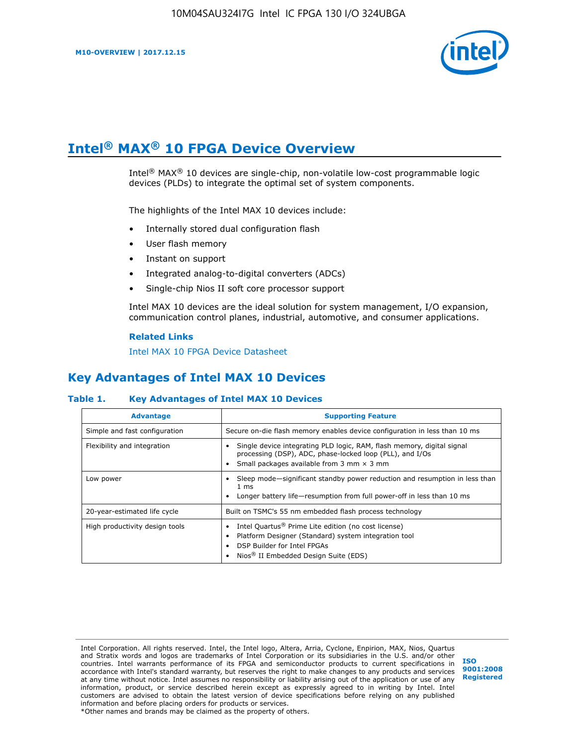

# **Intel® MAX® 10 FPGA Device Overview**

Intel® MAX® 10 devices are single-chip, non-volatile low-cost programmable logic devices (PLDs) to integrate the optimal set of system components.

The highlights of the Intel MAX 10 devices include:

- Internally stored dual configuration flash
- User flash memory
- Instant on support
- Integrated analog-to-digital converters (ADCs)
- Single-chip Nios II soft core processor support

Intel MAX 10 devices are the ideal solution for system management, I/O expansion, communication control planes, industrial, automotive, and consumer applications.

#### **Related Links**

[Intel MAX 10 FPGA Device Datasheet](https://www.altera.com/documentation/mcn1397700832153.html#mcn1397643748870)

### **Key Advantages of Intel MAX 10 Devices**

### **Table 1. Key Advantages of Intel MAX 10 Devices**

| <b>Advantage</b>               | <b>Supporting Feature</b>                                                                                                                                                                                  |  |  |  |
|--------------------------------|------------------------------------------------------------------------------------------------------------------------------------------------------------------------------------------------------------|--|--|--|
| Simple and fast configuration  | Secure on-die flash memory enables device configuration in less than 10 ms                                                                                                                                 |  |  |  |
| Flexibility and integration    | Single device integrating PLD logic, RAM, flash memory, digital signal<br>processing (DSP), ADC, phase-locked loop (PLL), and I/Os<br>Small packages available from 3 mm $\times$ 3 mm                     |  |  |  |
| Low power                      | Sleep mode—significant standby power reduction and resumption in less than<br>$1 \text{ ms}$<br>Longer battery life—resumption from full power-off in less than 10 ms                                      |  |  |  |
| 20-year-estimated life cycle   | Built on TSMC's 55 nm embedded flash process technology                                                                                                                                                    |  |  |  |
| High productivity design tools | Intel Quartus <sup>®</sup> Prime Lite edition (no cost license)<br>Platform Designer (Standard) system integration tool<br>DSP Builder for Intel FPGAs<br>Nios <sup>®</sup> II Embedded Design Suite (EDS) |  |  |  |

Intel Corporation. All rights reserved. Intel, the Intel logo, Altera, Arria, Cyclone, Enpirion, MAX, Nios, Quartus and Stratix words and logos are trademarks of Intel Corporation or its subsidiaries in the U.S. and/or other countries. Intel warrants performance of its FPGA and semiconductor products to current specifications in accordance with Intel's standard warranty, but reserves the right to make changes to any products and services at any time without notice. Intel assumes no responsibility or liability arising out of the application or use of any information, product, or service described herein except as expressly agreed to in writing by Intel. Intel customers are advised to obtain the latest version of device specifications before relying on any published information and before placing orders for products or services. \*Other names and brands may be claimed as the property of others.

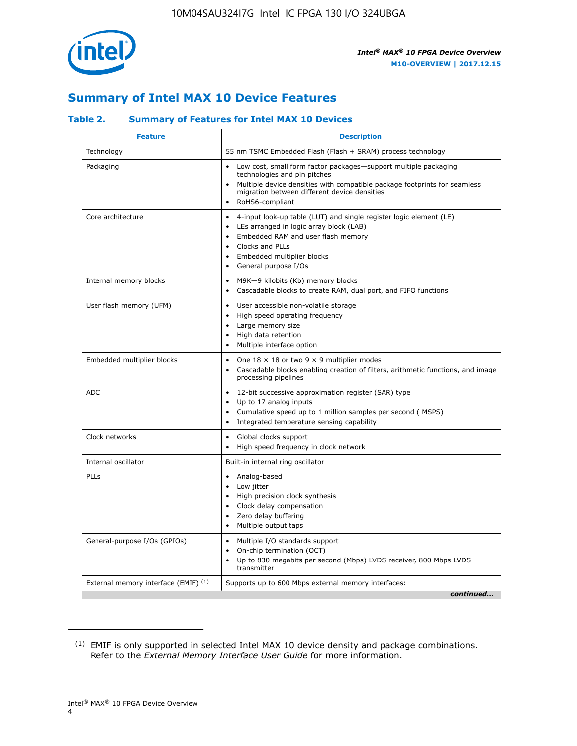

### **Summary of Intel MAX 10 Device Features**

### **Table 2. Summary of Features for Intel MAX 10 Devices**

| <b>Feature</b>                       | <b>Description</b>                                                                                                                                                                                                                                                                            |
|--------------------------------------|-----------------------------------------------------------------------------------------------------------------------------------------------------------------------------------------------------------------------------------------------------------------------------------------------|
| Technology                           | 55 nm TSMC Embedded Flash (Flash + SRAM) process technology                                                                                                                                                                                                                                   |
| Packaging                            | Low cost, small form factor packages-support multiple packaging<br>technologies and pin pitches<br>Multiple device densities with compatible package footprints for seamless<br>migration between different device densities<br>RoHS6-compliant                                               |
| Core architecture                    | 4-input look-up table (LUT) and single register logic element (LE)<br>$\bullet$<br>LEs arranged in logic array block (LAB)<br>$\bullet$<br>Embedded RAM and user flash memory<br>$\bullet$<br>Clocks and PLLs<br>$\bullet$<br>Embedded multiplier blocks<br>General purpose I/Os<br>$\bullet$ |
| Internal memory blocks               | M9K-9 kilobits (Kb) memory blocks<br>$\bullet$<br>Cascadable blocks to create RAM, dual port, and FIFO functions<br>$\bullet$                                                                                                                                                                 |
| User flash memory (UFM)              | User accessible non-volatile storage<br>$\bullet$<br>High speed operating frequency<br>$\bullet$<br>Large memory size<br>High data retention<br>$\bullet$<br>Multiple interface option                                                                                                        |
| Embedded multiplier blocks           | One $18 \times 18$ or two 9 $\times$ 9 multiplier modes<br>$\bullet$<br>Cascadable blocks enabling creation of filters, arithmetic functions, and image<br>processing pipelines                                                                                                               |
| <b>ADC</b>                           | 12-bit successive approximation register (SAR) type<br>$\bullet$<br>Up to 17 analog inputs<br>$\bullet$<br>Cumulative speed up to 1 million samples per second (MSPS)<br>Integrated temperature sensing capability<br>$\bullet$                                                               |
| Clock networks                       | Global clocks support<br>$\bullet$<br>High speed frequency in clock network                                                                                                                                                                                                                   |
| Internal oscillator                  | Built-in internal ring oscillator                                                                                                                                                                                                                                                             |
| PLLs                                 | Analog-based<br>$\bullet$<br>Low jitter<br>High precision clock synthesis<br>$\bullet$<br>Clock delay compensation<br>$\bullet$<br>Zero delay buffering<br>٠<br>Multiple output taps<br>$\bullet$                                                                                             |
| General-purpose I/Os (GPIOs)         | Multiple I/O standards support<br>$\bullet$<br>On-chip termination (OCT)<br>٠<br>Up to 830 megabits per second (Mbps) LVDS receiver, 800 Mbps LVDS<br>transmitter                                                                                                                             |
| External memory interface (EMIF) (1) | Supports up to 600 Mbps external memory interfaces:<br>continued                                                                                                                                                                                                                              |
|                                      |                                                                                                                                                                                                                                                                                               |

<sup>(1)</sup> EMIF is only supported in selected Intel MAX 10 device density and package combinations. Refer to the *External Memory Interface User Guide* for more information.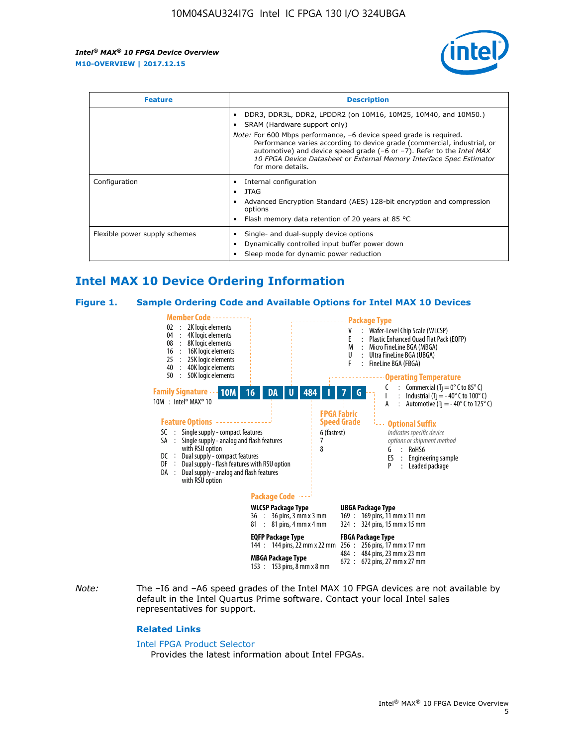

| <b>Feature</b>                | <b>Description</b>                                                                                                                                                                                                                                                                                                                             |  |  |  |
|-------------------------------|------------------------------------------------------------------------------------------------------------------------------------------------------------------------------------------------------------------------------------------------------------------------------------------------------------------------------------------------|--|--|--|
|                               | DDR3, DDR3L, DDR2, LPDDR2 (on 10M16, 10M25, 10M40, and 10M50.)<br>SRAM (Hardware support only)                                                                                                                                                                                                                                                 |  |  |  |
|                               | <i>Note:</i> For 600 Mbps performance, -6 device speed grade is required.<br>Performance varies according to device grade (commercial, industrial, or<br>automotive) and device speed grade $(-6 \text{ or } -7)$ . Refer to the <i>Intel MAX</i><br>10 FPGA Device Datasheet or External Memory Interface Spec Estimator<br>for more details. |  |  |  |
| Configuration                 | Internal configuration                                                                                                                                                                                                                                                                                                                         |  |  |  |
|                               | JTAG<br>٠                                                                                                                                                                                                                                                                                                                                      |  |  |  |
|                               | Advanced Encryption Standard (AES) 128-bit encryption and compression<br>options                                                                                                                                                                                                                                                               |  |  |  |
|                               | Flash memory data retention of 20 years at 85 $^{\circ}$ C                                                                                                                                                                                                                                                                                     |  |  |  |
| Flexible power supply schemes | Single- and dual-supply device options                                                                                                                                                                                                                                                                                                         |  |  |  |
|                               | Dynamically controlled input buffer power down                                                                                                                                                                                                                                                                                                 |  |  |  |
|                               | Sleep mode for dynamic power reduction                                                                                                                                                                                                                                                                                                         |  |  |  |

### **Intel MAX 10 Device Ordering Information**

#### **Figure 1. Sample Ordering Code and Available Options for Intel MAX 10 Devices**



*Note:* The –I6 and –A6 speed grades of the Intel MAX 10 FPGA devices are not available by default in the Intel Quartus Prime software. Contact your local Intel sales representatives for support.

#### **Related Links**

#### [Intel FPGA Product Selector](http://www.altera.com/products/selector/psg-selector.html)

Provides the latest information about Intel FPGAs.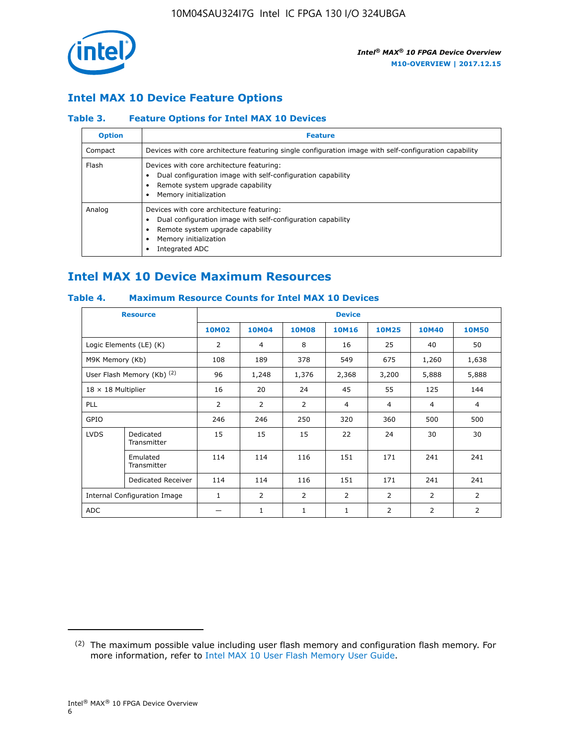

### **Intel MAX 10 Device Feature Options**

### **Table 3. Feature Options for Intel MAX 10 Devices**

| <b>Option</b> | <b>Feature</b>                                                                                                                                                                          |
|---------------|-----------------------------------------------------------------------------------------------------------------------------------------------------------------------------------------|
| Compact       | Devices with core architecture featuring single configuration image with self-configuration capability                                                                                  |
| Flash         | Devices with core architecture featuring:<br>Dual configuration image with self-configuration capability<br>Remote system upgrade capability<br>Memory initialization                   |
| Analog        | Devices with core architecture featuring:<br>Dual configuration image with self-configuration capability<br>Remote system upgrade capability<br>Memory initialization<br>Integrated ADC |

### **Intel MAX 10 Device Maximum Resources**

### **Table 4. Maximum Resource Counts for Intel MAX 10 Devices**

| <b>Resource</b>              |                            | <b>Device</b> |                |                |                |                |              |                |
|------------------------------|----------------------------|---------------|----------------|----------------|----------------|----------------|--------------|----------------|
|                              |                            | <b>10M02</b>  | <b>10M04</b>   | <b>10M08</b>   | <b>10M16</b>   | <b>10M25</b>   | <b>10M40</b> | <b>10M50</b>   |
|                              | Logic Elements (LE) (K)    | 2             | 4              | 8              | 16             | 25             | 40           | 50             |
| M9K Memory (Kb)              |                            | 108           | 189            | 378            | 549            | 675            | 1,260        | 1,638          |
|                              | User Flash Memory (Kb) (2) | 96            | 1,248          | 1,376          | 2,368          | 3,200          | 5,888        | 5,888          |
| $18 \times 18$ Multiplier    |                            | 16            | 20             | 24             | 45             | 55             | 125          | 144            |
| <b>PLL</b>                   |                            | 2             | 2              | 2              | $\overline{4}$ | $\overline{4}$ | 4            | $\overline{4}$ |
| GPIO                         |                            | 246           | 246            | 250            | 320            | 360            | 500          | 500            |
| <b>LVDS</b>                  | Dedicated<br>Transmitter   | 15            | 15             | 15             | 22             | 24             | 30           | 30             |
|                              | Emulated<br>Transmitter    | 114           | 114            | 116            | 151            | 171            | 241          | 241            |
|                              | Dedicated Receiver         | 114           | 114            | 116            | 151            | 171            | 241          | 241            |
| Internal Configuration Image |                            | $\mathbf{1}$  | $\overline{2}$ | $\overline{2}$ | $\overline{2}$ | $\overline{2}$ | 2            | $\overline{2}$ |
| <b>ADC</b>                   |                            |               | 1              | 1              | 1              | 2              | 2            | 2              |

<sup>(2)</sup> The maximum possible value including user flash memory and configuration flash memory. For more information, refer to [Intel MAX 10 User Flash Memory User Guide](https://www.altera.com/documentation/vgo1395753117436.html#vgo1395811844282).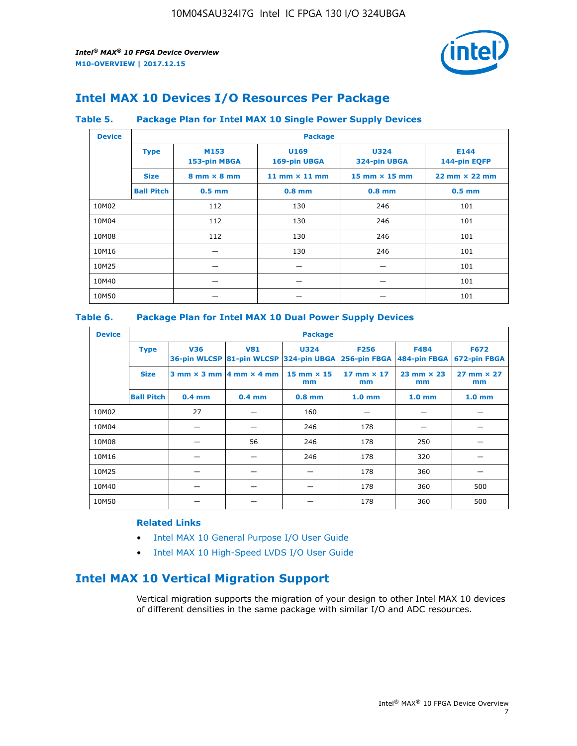

### **Intel MAX 10 Devices I/O Resources Per Package**

#### **Table 5. Package Plan for Intel MAX 10 Single Power Supply Devices**

| <b>Device</b> |                   | <b>Package</b>                     |                      |                             |                                      |  |  |  |  |
|---------------|-------------------|------------------------------------|----------------------|-----------------------------|--------------------------------------|--|--|--|--|
|               | <b>Type</b>       | M153<br>153-pin MBGA               | U169<br>169-pin UBGA | <b>U324</b><br>324-pin UBGA | E144<br>144-pin EQFP                 |  |  |  |  |
|               | <b>Size</b>       | $8 \text{ mm} \times 8 \text{ mm}$ | 11 mm $\times$ 11 mm | 15 mm $\times$ 15 mm        | $22 \text{ mm} \times 22 \text{ mm}$ |  |  |  |  |
|               | <b>Ball Pitch</b> | $0.5$ mm                           | $0.8$ mm             | $0.8$ mm                    | $0.5$ mm                             |  |  |  |  |
| 10M02         |                   | 112                                | 130                  | 246                         | 101                                  |  |  |  |  |
| 10M04         |                   | 112                                | 130                  | 246                         | 101                                  |  |  |  |  |
| 10M08         |                   | 112                                | 130                  | 246                         | 101                                  |  |  |  |  |
| 10M16         |                   |                                    | 130                  | 246                         | 101                                  |  |  |  |  |
| 10M25         |                   |                                    |                      |                             | 101                                  |  |  |  |  |
| 10M40         |                   |                                    |                      |                             | 101                                  |  |  |  |  |
| 10M50         |                   |                                    |                      |                             | 101                                  |  |  |  |  |

### **Table 6. Package Plan for Intel MAX 10 Dual Power Supply Devices**

| <b>Device</b> |                   | <b>Package</b> |                                                |                                                       |                             |                             |                             |  |  |
|---------------|-------------------|----------------|------------------------------------------------|-------------------------------------------------------|-----------------------------|-----------------------------|-----------------------------|--|--|
|               | <b>Type</b>       | <b>V36</b>     | <b>V81</b>                                     | <b>U324</b><br>36-pin WLCSP 81-pin WLCSP 324-pin UBGA | <b>F256</b><br>256-pin FBGA | <b>F484</b><br>484-pin FBGA | <b>F672</b><br>672-pin FBGA |  |  |
|               | <b>Size</b>       |                | $3$ mm $\times$ 3 mm $ 4$ mm $\times$ 4 mm $ $ | 15 mm $\times$ 15<br>mm                               | $17$ mm $\times$ 17<br>mm   | $23$ mm $\times$ 23<br>mm   | $27$ mm $\times$ 27<br>mm   |  |  |
|               | <b>Ball Pitch</b> | $0.4$ mm       | $0.4$ mm                                       | $0.8$ mm                                              | 1.0 <sub>mm</sub>           | 1.0 <sub>mm</sub>           | 1.0 <sub>mm</sub>           |  |  |
| 10M02         |                   | 27             |                                                | 160                                                   |                             |                             |                             |  |  |
| 10M04         |                   |                |                                                | 246                                                   | 178                         |                             |                             |  |  |
| 10M08         |                   |                | 56                                             | 246                                                   | 178                         | 250                         |                             |  |  |
| 10M16         |                   |                |                                                | 246                                                   | 178                         | 320                         |                             |  |  |
| 10M25         |                   |                |                                                |                                                       | 178                         | 360                         |                             |  |  |
| 10M40         |                   |                |                                                |                                                       | 178                         | 360                         | 500                         |  |  |
| 10M50         |                   |                |                                                |                                                       | 178                         | 360                         | 500                         |  |  |

### **Related Links**

- [Intel MAX 10 General Purpose I/O User Guide](https://www.altera.com/documentation/sam1393999966669.html#sam1394000084476)
- [Intel MAX 10 High-Speed LVDS I/O User Guide](https://www.altera.com/documentation/sam1394433606063.html#sam1394433911642)

### **Intel MAX 10 Vertical Migration Support**

Vertical migration supports the migration of your design to other Intel MAX 10 devices of different densities in the same package with similar I/O and ADC resources.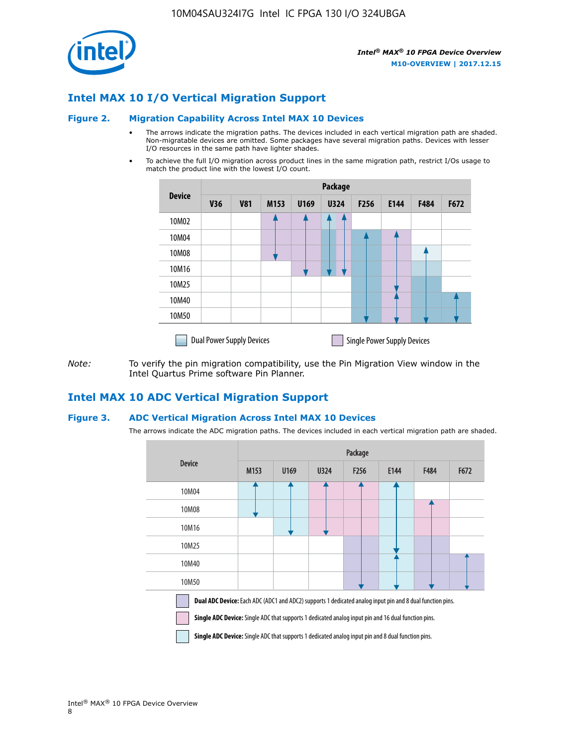

### **Intel MAX 10 I/O Vertical Migration Support**

#### **Figure 2. Migration Capability Across Intel MAX 10 Devices**

- The arrows indicate the migration paths. The devices included in each vertical migration path are shaded. Non-migratable devices are omitted. Some packages have several migration paths. Devices with lesser I/O resources in the same path have lighter shades.
- To achieve the full I/O migration across product lines in the same migration path, restrict I/Os usage to match the product line with the lowest I/O count.

|               | <b>Package</b>                   |            |      |      |             |      |                                    |      |      |  |
|---------------|----------------------------------|------------|------|------|-------------|------|------------------------------------|------|------|--|
| <b>Device</b> | <b>V36</b>                       | <b>V81</b> | M153 | U169 | <b>U324</b> | F256 | E144                               | F484 | F672 |  |
| 10M02         |                                  |            |      |      | 7           |      |                                    |      |      |  |
| 10M04         |                                  |            |      |      |             |      |                                    |      |      |  |
| 10M08         |                                  |            |      |      |             |      |                                    |      |      |  |
| 10M16         |                                  |            |      |      |             |      |                                    |      |      |  |
| 10M25         |                                  |            |      |      |             |      |                                    |      |      |  |
| 10M40         |                                  |            |      |      |             |      |                                    |      |      |  |
| 10M50         |                                  |            |      |      |             |      |                                    |      |      |  |
|               | <b>Dual Power Supply Devices</b> |            |      |      |             |      | <b>Single Power Supply Devices</b> |      |      |  |

*Note:* To verify the pin migration compatibility, use the Pin Migration View window in the Intel Quartus Prime software Pin Planner.

### **Intel MAX 10 ADC Vertical Migration Support**

#### **Figure 3. ADC Vertical Migration Across Intel MAX 10 Devices**

The arrows indicate the ADC migration paths. The devices included in each vertical migration path are shaded.

|                                                                                                                                                                                                                         | Package |      |      |                  |      |      |      |  |  |
|-------------------------------------------------------------------------------------------------------------------------------------------------------------------------------------------------------------------------|---------|------|------|------------------|------|------|------|--|--|
| <b>Device</b>                                                                                                                                                                                                           | M153    | U169 | U324 | F <sub>256</sub> | E144 | F484 | F672 |  |  |
| 10M04                                                                                                                                                                                                                   |         |      |      |                  |      |      |      |  |  |
| 10M08                                                                                                                                                                                                                   |         |      |      |                  |      |      |      |  |  |
| 10M16                                                                                                                                                                                                                   |         |      |      |                  |      |      |      |  |  |
| 10M25                                                                                                                                                                                                                   |         |      |      |                  |      |      |      |  |  |
| 10M40                                                                                                                                                                                                                   |         |      |      |                  |      |      |      |  |  |
| 10M50                                                                                                                                                                                                                   |         |      |      |                  |      |      |      |  |  |
| Dual ADC Device: Each ADC (ADC1 and ADC2) supports 1 dedicated analog input pin and 8 dual function pins.<br><b>Single ADC Device:</b> Single ADC that supports 1 dedicated analog input pin and 16 dual function pins. |         |      |      |                  |      |      |      |  |  |

**Single ADC Device:** Single ADC that supports 1 dedicated analog input pin and 8 dual function pins.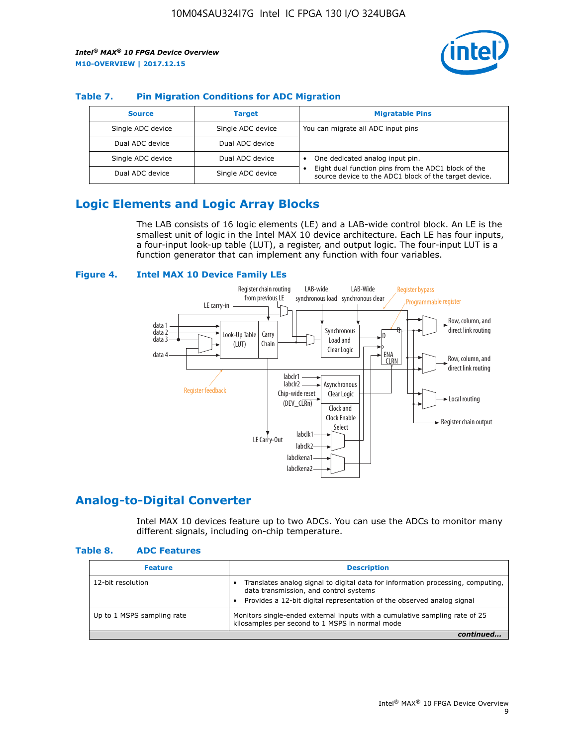

### **Table 7. Pin Migration Conditions for ADC Migration**

| <b>Source</b>     | <b>Target</b>     | <b>Migratable Pins</b>                                                                                            |
|-------------------|-------------------|-------------------------------------------------------------------------------------------------------------------|
| Single ADC device | Single ADC device | You can migrate all ADC input pins                                                                                |
| Dual ADC device   | Dual ADC device   |                                                                                                                   |
| Single ADC device | Dual ADC device   | One dedicated analog input pin.                                                                                   |
| Dual ADC device   | Single ADC device | Eight dual function pins from the ADC1 block of the<br>٠<br>source device to the ADC1 block of the target device. |

### **Logic Elements and Logic Array Blocks**

The LAB consists of 16 logic elements (LE) and a LAB-wide control block. An LE is the smallest unit of logic in the Intel MAX 10 device architecture. Each LE has four inputs, a four-input look-up table (LUT), a register, and output logic. The four-input LUT is a function generator that can implement any function with four variables.

### **Figure 4. Intel MAX 10 Device Family LEs**



### **Analog-to-Digital Converter**

Intel MAX 10 devices feature up to two ADCs. You can use the ADCs to monitor many different signals, including on-chip temperature.

#### **Table 8. ADC Features**

| <b>Feature</b>             | <b>Description</b>                                                                                                                                                                                  |
|----------------------------|-----------------------------------------------------------------------------------------------------------------------------------------------------------------------------------------------------|
| 12-bit resolution          | Translates analog signal to digital data for information processing, computing,<br>data transmission, and control systems<br>Provides a 12-bit digital representation of the observed analog signal |
| Up to 1 MSPS sampling rate | Monitors single-ended external inputs with a cumulative sampling rate of 25<br>kilosamples per second to 1 MSPS in normal mode                                                                      |
|                            |                                                                                                                                                                                                     |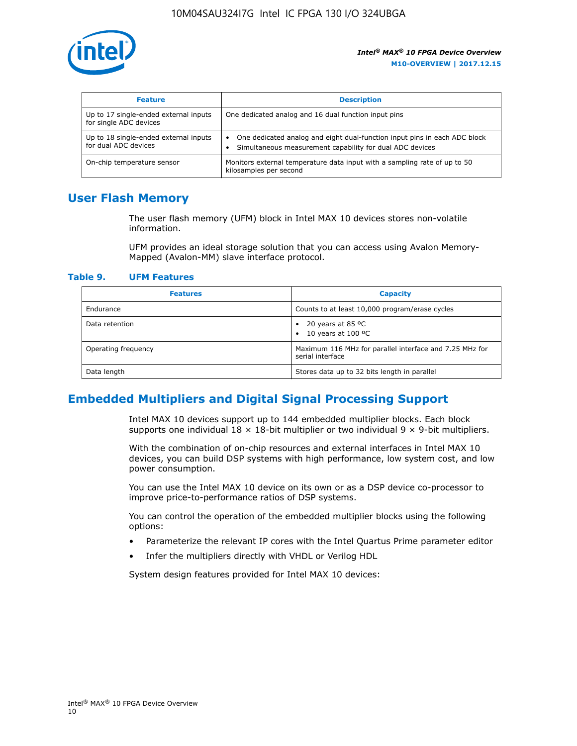

| <b>Feature</b>                                                  | <b>Description</b>                                                                                                                         |
|-----------------------------------------------------------------|--------------------------------------------------------------------------------------------------------------------------------------------|
| Up to 17 single-ended external inputs<br>for single ADC devices | One dedicated analog and 16 dual function input pins                                                                                       |
| Up to 18 single-ended external inputs<br>for dual ADC devices   | One dedicated analog and eight dual-function input pins in each ADC block<br>٠<br>Simultaneous measurement capability for dual ADC devices |
| On-chip temperature sensor                                      | Monitors external temperature data input with a sampling rate of up to 50<br>kilosamples per second                                        |

### **User Flash Memory**

The user flash memory (UFM) block in Intel MAX 10 devices stores non-volatile information.

UFM provides an ideal storage solution that you can access using Avalon Memory-Mapped (Avalon-MM) slave interface protocol.

#### **Table 9. UFM Features**

| <b>Features</b>     | <b>Capacity</b>                                                             |
|---------------------|-----------------------------------------------------------------------------|
| Endurance           | Counts to at least 10,000 program/erase cycles                              |
| Data retention      | 20 years at 85 °C<br>٠<br>10 years at 100 °C<br>$\bullet$                   |
| Operating frequency | Maximum 116 MHz for parallel interface and 7.25 MHz for<br>serial interface |
| Data length         | Stores data up to 32 bits length in parallel                                |

### **Embedded Multipliers and Digital Signal Processing Support**

Intel MAX 10 devices support up to 144 embedded multiplier blocks. Each block supports one individual  $18 \times 18$ -bit multiplier or two individual  $9 \times 9$ -bit multipliers.

With the combination of on-chip resources and external interfaces in Intel MAX 10 devices, you can build DSP systems with high performance, low system cost, and low power consumption.

You can use the Intel MAX 10 device on its own or as a DSP device co-processor to improve price-to-performance ratios of DSP systems.

You can control the operation of the embedded multiplier blocks using the following options:

- Parameterize the relevant IP cores with the Intel Quartus Prime parameter editor
- Infer the multipliers directly with VHDL or Verilog HDL

System design features provided for Intel MAX 10 devices: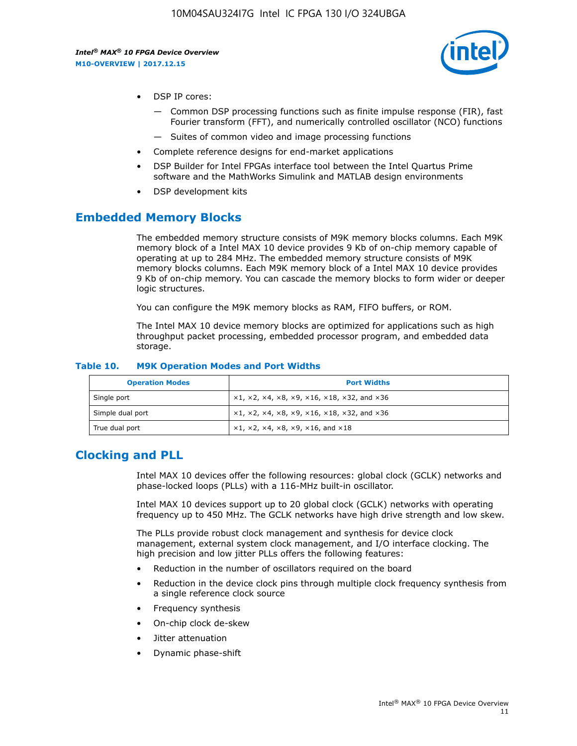

- DSP IP cores:
	- Common DSP processing functions such as finite impulse response (FIR), fast Fourier transform (FFT), and numerically controlled oscillator (NCO) functions
	- Suites of common video and image processing functions
- Complete reference designs for end-market applications
- DSP Builder for Intel FPGAs interface tool between the Intel Quartus Prime software and the MathWorks Simulink and MATLAB design environments
- DSP development kits

### **Embedded Memory Blocks**

The embedded memory structure consists of M9K memory blocks columns. Each M9K memory block of a Intel MAX 10 device provides 9 Kb of on-chip memory capable of operating at up to 284 MHz. The embedded memory structure consists of M9K memory blocks columns. Each M9K memory block of a Intel MAX 10 device provides 9 Kb of on-chip memory. You can cascade the memory blocks to form wider or deeper logic structures.

You can configure the M9K memory blocks as RAM, FIFO buffers, or ROM.

The Intel MAX 10 device memory blocks are optimized for applications such as high throughput packet processing, embedded processor program, and embedded data storage.

| <b>Operation Modes</b> | <b>Port Widths</b>                                                            |
|------------------------|-------------------------------------------------------------------------------|
| Single port            | $x1, x2, x4, x8, x9, x16, x18, x32, and x36$                                  |
| Simple dual port       | $x1, x2, x4, x8, x9, x16, x18, x32, and x36$                                  |
| True dual port         | $\times1, \times2, \times4, \times8, \times9, \times16, \text{and } \times18$ |

#### **Table 10. M9K Operation Modes and Port Widths**

### **Clocking and PLL**

Intel MAX 10 devices offer the following resources: global clock (GCLK) networks and phase-locked loops (PLLs) with a 116-MHz built-in oscillator.

Intel MAX 10 devices support up to 20 global clock (GCLK) networks with operating frequency up to 450 MHz. The GCLK networks have high drive strength and low skew.

The PLLs provide robust clock management and synthesis for device clock management, external system clock management, and I/O interface clocking. The high precision and low jitter PLLs offers the following features:

- Reduction in the number of oscillators required on the board
- Reduction in the device clock pins through multiple clock frequency synthesis from a single reference clock source
- Frequency synthesis
- On-chip clock de-skew
- Jitter attenuation
- Dynamic phase-shift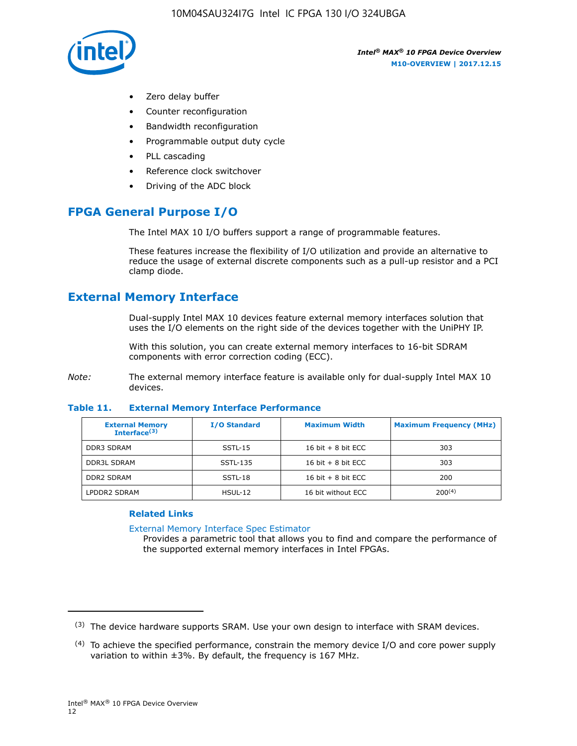

- Zero delay buffer
- Counter reconfiguration
- Bandwidth reconfiguration
- Programmable output duty cycle
- PLL cascading
- Reference clock switchover
- Driving of the ADC block

### **FPGA General Purpose I/O**

The Intel MAX 10 I/O buffers support a range of programmable features.

These features increase the flexibility of I/O utilization and provide an alternative to reduce the usage of external discrete components such as a pull-up resistor and a PCI clamp diode.

### **External Memory Interface**

Dual-supply Intel MAX 10 devices feature external memory interfaces solution that uses the I/O elements on the right side of the devices together with the UniPHY IP.

With this solution, you can create external memory interfaces to 16-bit SDRAM components with error correction coding (ECC).

*Note:* The external memory interface feature is available only for dual-supply Intel MAX 10 devices.

#### **Table 11. External Memory Interface Performance**

| <b>External Memory</b><br>Interface <sup>(3)</sup> | <b>I/O Standard</b> | <b>Maximum Width</b> | <b>Maximum Frequency (MHz)</b> |
|----------------------------------------------------|---------------------|----------------------|--------------------------------|
| <b>DDR3 SDRAM</b>                                  | SSTL-15             | 16 bit $+8$ bit ECC  | 303                            |
| <b>DDR3L SDRAM</b>                                 | SSTL-135            | 16 bit $+8$ bit ECC  | 303                            |
| <b>DDR2 SDRAM</b>                                  | SSTL-18             | 16 bit $+8$ bit ECC  | 200                            |
| LPDDR2 SDRAM                                       | $H SUL-12$          | 16 bit without ECC   | 200(4)                         |

#### **Related Links**

[External Memory Interface Spec Estimator](http://www.altera.com/technology/memory/estimator/mem-emif-index.html)

Provides a parametric tool that allows you to find and compare the performance of the supported external memory interfaces in Intel FPGAs.

 $(3)$  The device hardware supports SRAM. Use your own design to interface with SRAM devices.

 $(4)$  To achieve the specified performance, constrain the memory device I/O and core power supply variation to within ±3%. By default, the frequency is 167 MHz.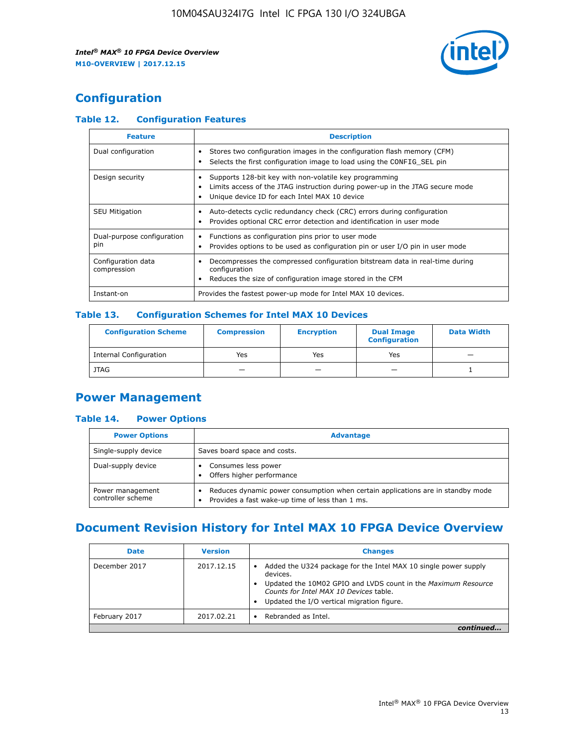

## **Configuration**

### **Table 12. Configuration Features**

| <b>Feature</b>                    | <b>Description</b>                                                                                                                                                                       |
|-----------------------------------|------------------------------------------------------------------------------------------------------------------------------------------------------------------------------------------|
| Dual configuration                | Stores two configuration images in the configuration flash memory (CFM)<br>Selects the first configuration image to load using the CONFIG SEL pin                                        |
| Design security                   | Supports 128-bit key with non-volatile key programming<br>Limits access of the JTAG instruction during power-up in the JTAG secure mode<br>Unique device ID for each Intel MAX 10 device |
| <b>SEU Mitigation</b>             | Auto-detects cyclic redundancy check (CRC) errors during configuration<br>Provides optional CRC error detection and identification in user mode                                          |
| Dual-purpose configuration<br>pin | Functions as configuration pins prior to user mode<br>Provides options to be used as configuration pin or user I/O pin in user mode                                                      |
| Configuration data<br>compression | Decompresses the compressed configuration bitstream data in real-time during<br>configuration<br>Reduces the size of configuration image stored in the CFM                               |
| Instant-on                        | Provides the fastest power-up mode for Intel MAX 10 devices.                                                                                                                             |

### **Table 13. Configuration Schemes for Intel MAX 10 Devices**

| <b>Configuration Scheme</b> | <b>Compression</b> | <b>Encryption</b> | <b>Dual Image</b><br><b>Configuration</b> | <b>Data Width</b> |
|-----------------------------|--------------------|-------------------|-------------------------------------------|-------------------|
| Internal Configuration      | Yes                | Yes               | Yes                                       |                   |
| <b>JTAG</b>                 | _                  |                   | -                                         |                   |

### **Power Management**

### **Table 14. Power Options**

| <b>Power Options</b>                  | <b>Advantage</b>                                                                                                                        |  |
|---------------------------------------|-----------------------------------------------------------------------------------------------------------------------------------------|--|
| Single-supply device                  | Saves board space and costs.                                                                                                            |  |
| Dual-supply device                    | Consumes less power<br>Offers higher performance<br>$\bullet$                                                                           |  |
| Power management<br>controller scheme | Reduces dynamic power consumption when certain applications are in standby mode<br>Provides a fast wake-up time of less than 1 ms.<br>٠ |  |

### **Document Revision History for Intel MAX 10 FPGA Device Overview**

| <b>Date</b>   | <b>Version</b> | <b>Changes</b>                                                                                                                                                                                                                       |
|---------------|----------------|--------------------------------------------------------------------------------------------------------------------------------------------------------------------------------------------------------------------------------------|
| December 2017 | 2017.12.15     | Added the U324 package for the Intel MAX 10 single power supply<br>devices.<br>Updated the 10M02 GPIO and LVDS count in the Maximum Resource<br>Counts for Intel MAX 10 Devices table.<br>Updated the I/O vertical migration figure. |
| February 2017 | 2017.02.21     | Rebranded as Intel.                                                                                                                                                                                                                  |
|               |                |                                                                                                                                                                                                                                      |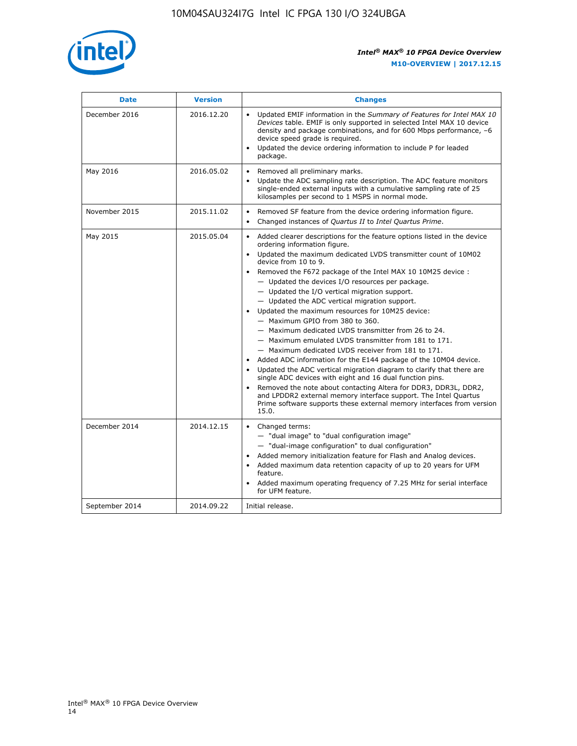

| <b>Date</b>    | <b>Version</b> | <b>Changes</b>                                                                                                                                                                                                                                                                                                                                                                                                                                                                                                                                                                                                                                                                                                                                                                                                                                                                                                                                                                                                                                                                                                                                                                       |
|----------------|----------------|--------------------------------------------------------------------------------------------------------------------------------------------------------------------------------------------------------------------------------------------------------------------------------------------------------------------------------------------------------------------------------------------------------------------------------------------------------------------------------------------------------------------------------------------------------------------------------------------------------------------------------------------------------------------------------------------------------------------------------------------------------------------------------------------------------------------------------------------------------------------------------------------------------------------------------------------------------------------------------------------------------------------------------------------------------------------------------------------------------------------------------------------------------------------------------------|
| December 2016  | 2016.12.20     | • Updated EMIF information in the Summary of Features for Intel MAX 10<br>Devices table. EMIF is only supported in selected Intel MAX 10 device<br>density and package combinations, and for 600 Mbps performance, -6<br>device speed grade is required.<br>Updated the device ordering information to include P for leaded<br>$\bullet$<br>package.                                                                                                                                                                                                                                                                                                                                                                                                                                                                                                                                                                                                                                                                                                                                                                                                                                 |
| May 2016       | 2016.05.02     | Removed all preliminary marks.<br>Update the ADC sampling rate description. The ADC feature monitors<br>$\bullet$<br>single-ended external inputs with a cumulative sampling rate of 25<br>kilosamples per second to 1 MSPS in normal mode.                                                                                                                                                                                                                                                                                                                                                                                                                                                                                                                                                                                                                                                                                                                                                                                                                                                                                                                                          |
| November 2015  | 2015.11.02     | Removed SF feature from the device ordering information figure.<br>$\bullet$<br>Changed instances of Quartus II to Intel Quartus Prime.<br>$\bullet$                                                                                                                                                                                                                                                                                                                                                                                                                                                                                                                                                                                                                                                                                                                                                                                                                                                                                                                                                                                                                                 |
| May 2015       | 2015.05.04     | Added clearer descriptions for the feature options listed in the device<br>$\bullet$<br>ordering information figure.<br>Updated the maximum dedicated LVDS transmitter count of 10M02<br>$\bullet$<br>device from 10 to 9.<br>• Removed the F672 package of the Intel MAX 10 10M25 device :<br>- Updated the devices I/O resources per package.<br>$-$ Updated the I/O vertical migration support.<br>- Updated the ADC vertical migration support.<br>Updated the maximum resources for 10M25 device:<br>- Maximum GPIO from 380 to 360.<br>- Maximum dedicated LVDS transmitter from 26 to 24.<br>- Maximum emulated LVDS transmitter from 181 to 171.<br>- Maximum dedicated LVDS receiver from 181 to 171.<br>Added ADC information for the E144 package of the 10M04 device.<br>$\bullet$<br>Updated the ADC vertical migration diagram to clarify that there are<br>$\bullet$<br>single ADC devices with eight and 16 dual function pins.<br>Removed the note about contacting Altera for DDR3, DDR3L, DDR2,<br>$\bullet$<br>and LPDDR2 external memory interface support. The Intel Quartus<br>Prime software supports these external memory interfaces from version<br>15.0. |
| December 2014  | 2014.12.15     | $\bullet$<br>Changed terms:<br>- "dual image" to "dual configuration image"<br>- "dual-image configuration" to dual configuration"<br>• Added memory initialization feature for Flash and Analog devices.<br>• Added maximum data retention capacity of up to 20 years for UFM<br>feature.<br>Added maximum operating frequency of 7.25 MHz for serial interface<br>$\bullet$<br>for UFM feature.                                                                                                                                                                                                                                                                                                                                                                                                                                                                                                                                                                                                                                                                                                                                                                                    |
| September 2014 | 2014.09.22     | Initial release.                                                                                                                                                                                                                                                                                                                                                                                                                                                                                                                                                                                                                                                                                                                                                                                                                                                                                                                                                                                                                                                                                                                                                                     |